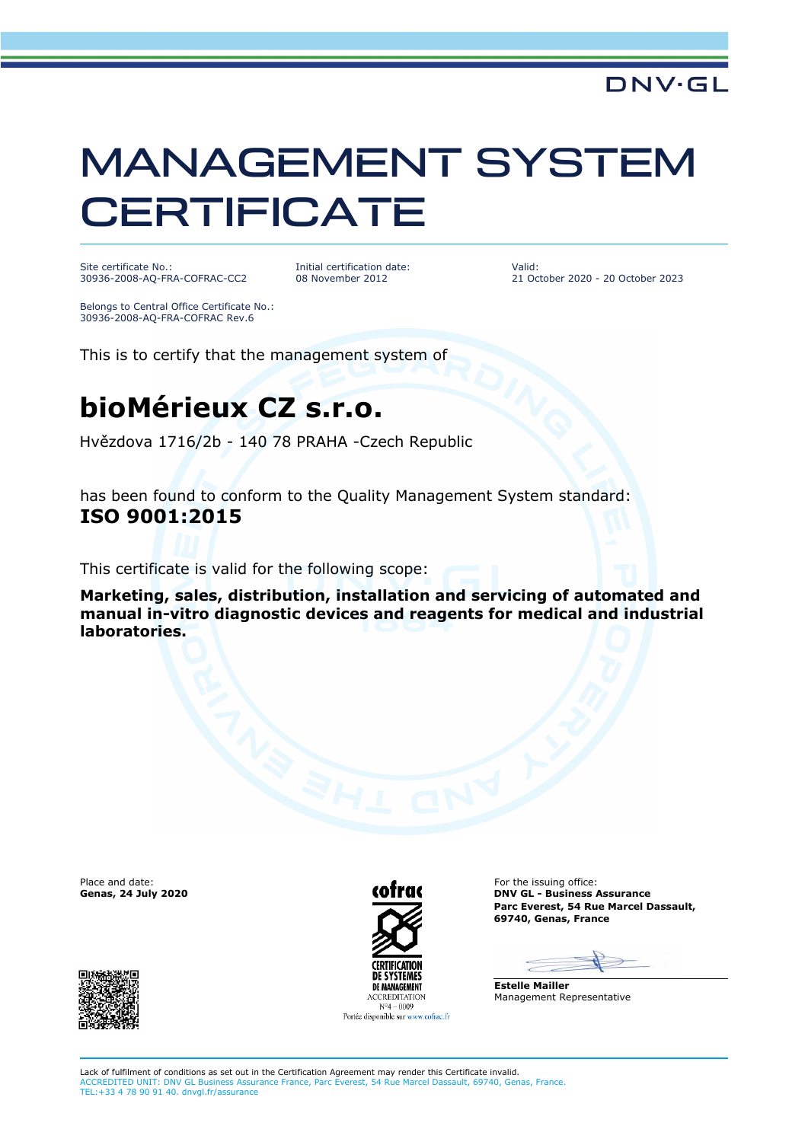### **DNV·GL**

## MANAGEMENT SYSTEM **CERTIFICATE**

Site certificate No.: 30936-2008-AQ-FRA-COFRAC-CC2 Initial certification date: 08 November 2012

Valid: 21 October 2020 - 20 October 2023

Belongs to Central Office Certificate No.: 30936-2008-AQ-FRA-COFRAC Rev.6

This is to certify that the management system of

### **bioMérieux CZ s.r.o.**

Hvězdova 1716/2b - 140 78 PRAHA -Czech Republic

has been found to conform to the Quality Management System standard: **ISO 9001:2015**

This certificate is valid for the following scope:

**Marketing, sales, distribution, installation and servicing of automated and manual in-vitro diagnostic devices and reagents for medical and industrial laboratories.**





Place and date: For the issuing office: Genas, 24 July 2020 **COTTUGE ASSUMES ASSUMED ASSUMED ASSUMED ASSUMED ASSUMED ASSUMED ASSUMED ASSUMED ASSUMED ASSUMED ASSUMED ASSUMED ASSUMED ASSUMED ASSUMED ASSUMED ASSUMED ASSUMED ASSUMED ASSUMED ASSUMED ASSUMED ASSUMED A Parc Everest, 54 Rue Marcel Dassault, 69740, Genas, France**

 $\overline{\phantom{0}}$ 

**Estelle Mailler** Management Representative